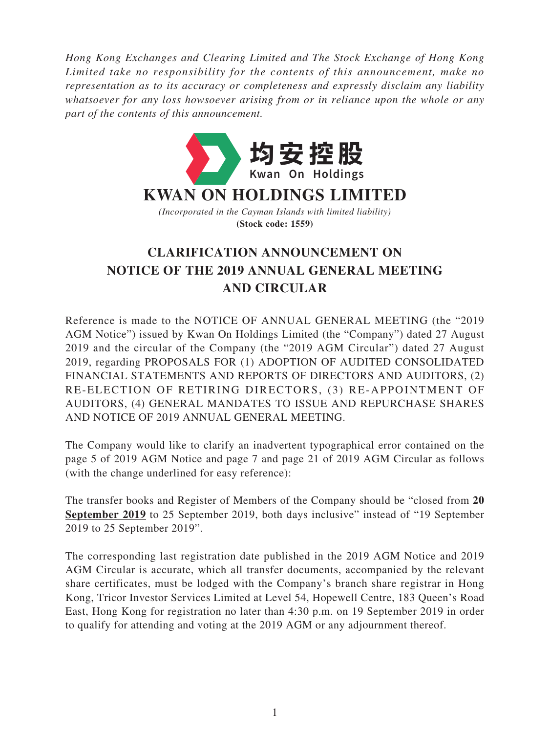*Hong Kong Exchanges and Clearing Limited and The Stock Exchange of Hong Kong Limited take no responsibility for the contents of this announcement, make no representation as to its accuracy or completeness and expressly disclaim any liability whatsoever for any loss howsoever arising from or in reliance upon the whole or any part of the contents of this announcement.*



## **CLARIFICATION ANNOUNCEMENT ON NOTICE OF THE 2019 ANNUAL GENERAL MEETING AND CIRCULAR**

Reference is made to the NOTICE OF ANNUAL GENERAL MEETING (the "2019 AGM Notice") issued by Kwan On Holdings Limited (the "Company") dated 27 August 2019 and the circular of the Company (the "2019 AGM Circular") dated 27 August 2019, regarding PROPOSALS FOR (1) ADOPTION OF AUDITED CONSOLIDATED FINANCIAL STATEMENTS AND REPORTS OF DIRECTORS AND AUDITORS, (2) RE-ELECTION OF RETIRING DIRECTORS, (3) RE-APPOINTMENT OF AUDITORS, (4) GENERAL MANDATES TO ISSUE AND REPURCHASE SHARES AND NOTICE OF 2019 ANNUAL GENERAL MEETING.

The Company would like to clarify an inadvertent typographical error contained on the page 5 of 2019 AGM Notice and page 7 and page 21 of 2019 AGM Circular as follows (with the change underlined for easy reference):

The transfer books and Register of Members of the Company should be "closed from **20 September 2019** to 25 September 2019, both days inclusive" instead of "19 September 2019 to 25 September 2019".

The corresponding last registration date published in the 2019 AGM Notice and 2019 AGM Circular is accurate, which all transfer documents, accompanied by the relevant share certificates, must be lodged with the Company's branch share registrar in Hong Kong, Tricor Investor Services Limited at Level 54, Hopewell Centre, 183 Queen's Road East, Hong Kong for registration no later than 4:30 p.m. on 19 September 2019 in order to qualify for attending and voting at the 2019 AGM or any adjournment thereof.